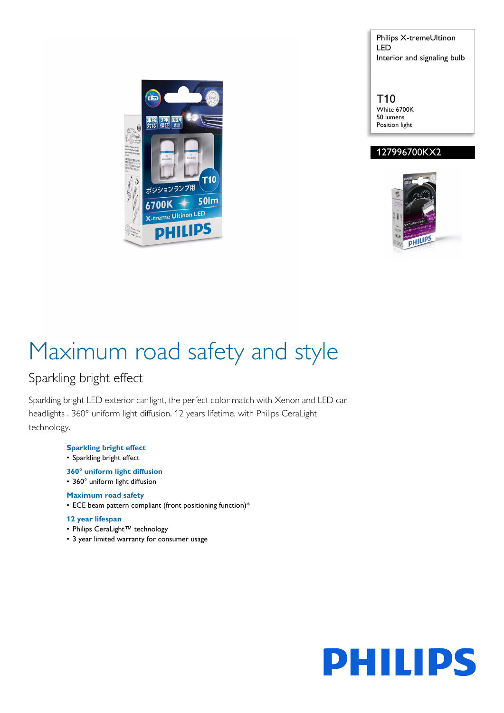Philips X-tremeUltinon LED Interior and signaling bulb



T10 White 6700K 50 lumens Position light

### 127996700KX2



# Maximum road safety and style

### Sparkling bright effect

Sparkling bright LED exterior car light, the perfect color match with Xenon and LED car headlights . 360° uniform light diffusion. 12 years lifetime, with Philips CeraLight technology.

- **Sparkling bright effect**
- Sparkling bright effect
- **360° uniform light diffusion**
- 360° uniform light diffusion

#### **Maximum road safety**

• ECE beam pattern compliant (front positioning function)\*

#### **12 year lifespan**

- Philips CeraLight™ technology
- 3 year limited warranty for consumer usage